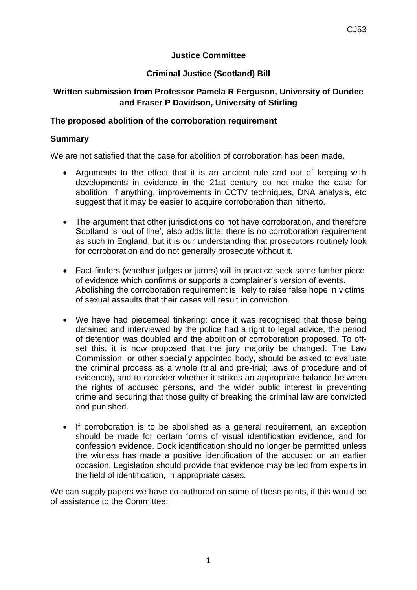## **Justice Committee**

# **Criminal Justice (Scotland) Bill**

## **Written submission from Professor Pamela R Ferguson, University of Dundee and Fraser P Davidson, University of Stirling**

### **The proposed abolition of the corroboration requirement**

#### **Summary**

We are not satisfied that the case for abolition of corroboration has been made.

- Arguments to the effect that it is an ancient rule and out of keeping with developments in evidence in the 21st century do not make the case for abolition. If anything, improvements in CCTV techniques, DNA analysis, etc suggest that it may be easier to acquire corroboration than hitherto.
- The argument that other jurisdictions do not have corroboration, and therefore Scotland is 'out of line', also adds little; there is no corroboration requirement as such in England, but it is our understanding that prosecutors routinely look for corroboration and do not generally prosecute without it.
- Fact-finders (whether judges or jurors) will in practice seek some further piece of evidence which confirms or supports a complainer's version of events. Abolishing the corroboration requirement is likely to raise false hope in victims of sexual assaults that their cases will result in conviction.
- We have had piecemeal tinkering: once it was recognised that those being detained and interviewed by the police had a right to legal advice, the period of detention was doubled and the abolition of corroboration proposed. To offset this, it is now proposed that the jury majority be changed. The Law Commission, or other specially appointed body, should be asked to evaluate the criminal process as a whole (trial and pre-trial; laws of procedure and of evidence), and to consider whether it strikes an appropriate balance between the rights of accused persons, and the wider public interest in preventing crime and securing that those guilty of breaking the criminal law are convicted and punished.
- If corroboration is to be abolished as a general requirement, an exception should be made for certain forms of visual identification evidence, and for confession evidence. Dock identification should no longer be permitted unless the witness has made a positive identification of the accused on an earlier occasion. Legislation should provide that evidence may be led from experts in the field of identification, in appropriate cases.

We can supply papers we have co-authored on some of these points, if this would be of assistance to the Committee: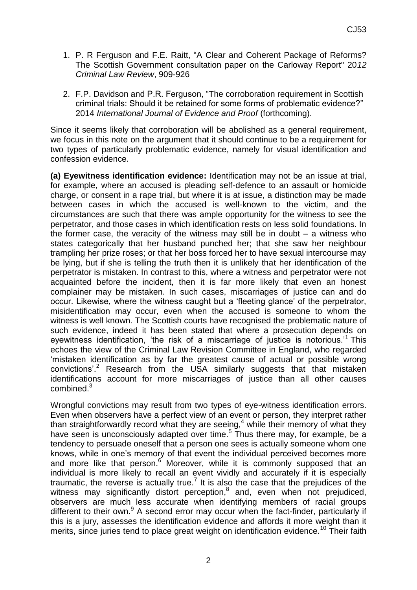- 1. P. R Ferguson and F.E. Raitt, "A Clear and Coherent Package of Reforms? The Scottish Government consultation paper on the Carloway Report" 20*12 Criminal Law Review*, 909-926
- 2. F.P. Davidson and P.R. Ferguson, "The corroboration requirement in Scottish criminal trials: Should it be retained for some forms of problematic evidence?" 2014 *International Journal of Evidence and Proof* (forthcoming).

Since it seems likely that corroboration will be abolished as a general requirement, we focus in this note on the argument that it should continue to be a requirement for two types of particularly problematic evidence, namely for visual identification and confession evidence.

**(a) Eyewitness identification evidence:** Identification may not be an issue at trial, for example, where an accused is pleading self-defence to an assault or homicide charge, or consent in a rape trial, but where it is at issue, a distinction may be made between cases in which the accused is well-known to the victim, and the circumstances are such that there was ample opportunity for the witness to see the perpetrator, and those cases in which identification rests on less solid foundations. In the former case, the veracity of the witness may still be in doubt  $-$  a witness who states categorically that her husband punched her; that she saw her neighbour trampling her prize roses; or that her boss forced her to have sexual intercourse may be lying, but if she is telling the truth then it is unlikely that her identification of the perpetrator is mistaken. In contrast to this, where a witness and perpetrator were not acquainted before the incident, then it is far more likely that even an honest complainer may be mistaken. In such cases, miscarriages of justice can and do occur. Likewise, where the witness caught but a 'fleeting glance' of the perpetrator, misidentification may occur, even when the accused is someone to whom the witness is well known. The Scottish courts have recognised the problematic nature of such evidence, indeed it has been stated that where a prosecution depends on eyewitness identification, 'the risk of a miscarriage of justice is notorious.'<sup>1</sup> This echoes the view of the Criminal Law Revision Committee in England, who regarded 'mistaken identification as by far the greatest cause of actual or possible wrong convictions<sup>'.2</sup> Research from the USA similarly suggests that that mistaken identifications account for more miscarriages of justice than all other causes combined.<sup>3</sup>

Wrongful convictions may result from two types of eye-witness identification errors. Even when observers have a perfect view of an event or person, they interpret rather than straightforwardly record what they are seeing, $4$  while their memory of what they have seen is unconsciously adapted over time.<sup>5</sup> Thus there may, for example, be a tendency to persuade oneself that a person one sees is actually someone whom one knows, while in one's memory of that event the individual perceived becomes more and more like that person. $6$  Moreover, while it is commonly supposed that an individual is more likely to recall an event vividly and accurately if it is especially traumatic, the reverse is actually true.<sup>7</sup> It is also the case that the prejudices of the witness may significantly distort perception, $^8$  and, even when not prejudiced, observers are much less accurate when identifying members of racial groups different to their own.<sup>9</sup> A second error may occur when the fact-finder, particularly if this is a jury, assesses the identification evidence and affords it more weight than it merits, since juries tend to place great weight on identification evidence.<sup>10</sup> Their faith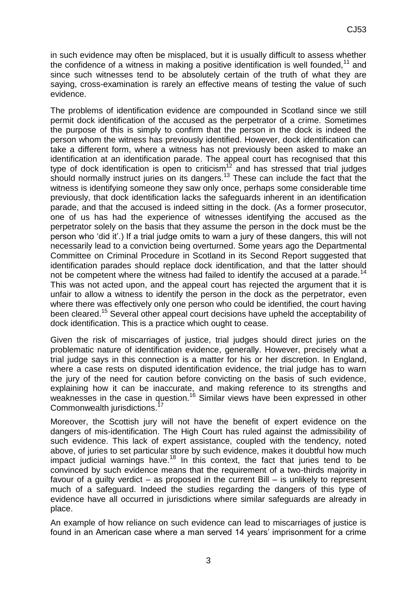in such evidence may often be misplaced, but it is usually difficult to assess whether the confidence of a witness in making a positive identification is well founded,  $11$  and since such witnesses tend to be absolutely certain of the truth of what they are saying, cross-examination is rarely an effective means of testing the value of such evidence.

The problems of identification evidence are compounded in Scotland since we still permit dock identification of the accused as the perpetrator of a crime. Sometimes the purpose of this is simply to confirm that the person in the dock is indeed the person whom the witness has previously identified. However, dock identification can take a different form, where a witness has not previously been asked to make an identification at an identification parade. The appeal court has recognised that this type of dock identification is open to criticism<sup>12</sup> and has stressed that trial judges should normally instruct juries on its dangers.<sup>13</sup> These can include the fact that the witness is identifying someone they saw only once, perhaps some considerable time previously, that dock identification lacks the safeguards inherent in an identification parade, and that the accused is indeed sitting in the dock. (As a former prosecutor, one of us has had the experience of witnesses identifying the accused as the perpetrator solely on the basis that they assume the person in the dock must be the person who 'did it'.) If a trial judge omits to warn a jury of these dangers, this will not necessarily lead to a conviction being overturned. Some years ago the Departmental Committee on Criminal Procedure in Scotland in its Second Report suggested that identification parades should replace dock identification, and that the latter should not be competent where the witness had failed to identify the accused at a parade.<sup>14</sup> This was not acted upon, and the appeal court has rejected the argument that it is unfair to allow a witness to identify the person in the dock as the perpetrator, even where there was effectively only one person who could be identified, the court having been cleared.<sup>15</sup> Several other appeal court decisions have upheld the acceptability of dock identification. This is a practice which ought to cease.

Given the risk of miscarriages of justice, trial judges should direct juries on the problematic nature of identification evidence, generally. However, precisely what a trial judge says in this connection is a matter for his or her discretion. In England, where a case rests on disputed identification evidence, the trial judge has to warn the jury of the need for caution before convicting on the basis of such evidence, explaining how it can be inaccurate, and making reference to its strengths and weaknesses in the case in question.<sup>16</sup> Similar views have been expressed in other Commonwealth jurisdictions.

Moreover, the Scottish jury will not have the benefit of expert evidence on the dangers of mis-identification. The High Court has ruled against the admissibility of such evidence. This lack of expert assistance, coupled with the tendency, noted above, of juries to set particular store by such evidence, makes it doubtful how much impact judicial warnings have. $18$  In this context, the fact that juries tend to be convinced by such evidence means that the requirement of a two-thirds majority in favour of a guilty verdict – as proposed in the current Bill – is unlikely to represent much of a safeguard. Indeed the studies regarding the dangers of this type of evidence have all occurred in jurisdictions where similar safeguards are already in place.

An example of how reliance on such evidence can lead to miscarriages of justice is found in an American case where a man served 14 years' imprisonment for a crime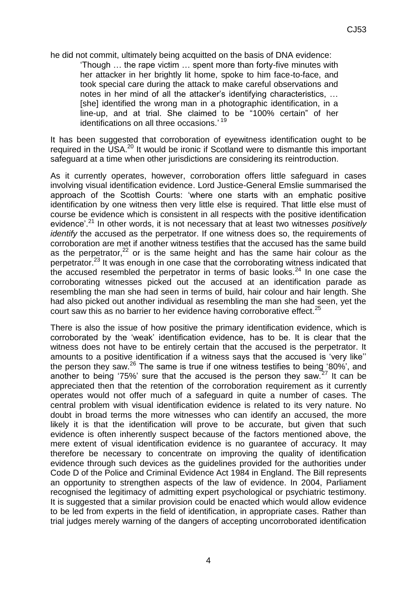he did not commit, ultimately being acquitted on the basis of DNA evidence:

'Though … the rape victim … spent more than forty-five minutes with her attacker in her brightly lit home, spoke to him face-to-face, and took special care during the attack to make careful observations and notes in her mind of all the attacker's identifying characteristics, … [she] identified the wrong man in a photographic identification, in a line-up, and at trial. She claimed to be "100% certain" of her identifications on all three occasions.' <sup>19</sup>

It has been suggested that corroboration of eyewitness identification ought to be required in the USA.<sup>20</sup> It would be ironic if Scotland were to dismantle this important safeguard at a time when other jurisdictions are considering its reintroduction.

As it currently operates, however, corroboration offers little safeguard in cases involving visual identification evidence. Lord Justice-General Emslie summarised the approach of the Scottish Courts: 'where one starts with an emphatic positive identification by one witness then very little else is required. That little else must of course be evidence which is consistent in all respects with the positive identification evidence'.<sup>21</sup> In other words, it is not necessary that at least two witnesses *positively identify* the accused as the perpetrator. If one witness does so, the requirements of corroboration are met if another witness testifies that the accused has the same build as the perpetrator, $22$  or is the same height and has the same hair colour as the perpetrator.<sup>23</sup> It was enough in one case that the corroborating witness indicated that the accused resembled the perpetrator in terms of basic looks. $24$  In one case the corroborating witnesses picked out the accused at an identification parade as resembling the man she had seen in terms of build, hair colour and hair length. She had also picked out another individual as resembling the man she had seen, yet the court saw this as no barrier to her evidence having corroborative effect.<sup>25</sup>

There is also the issue of how positive the primary identification evidence, which is corroborated by the 'weak' identification evidence, has to be. It is clear that the witness does not have to be entirely certain that the accused is the perpetrator. It amounts to a positive identification if a witness says that the accused is 'very like'' the person they saw.<sup>26</sup> The same is true if one witness testifies to being  $'80\%$ , and another to being '75%' sure that the accused is the person they saw*.* <sup>27</sup> It can be appreciated then that the retention of the corroboration requirement as it currently operates would not offer much of a safeguard in quite a number of cases. The central problem with visual identification evidence is related to its very nature. No doubt in broad terms the more witnesses who can identify an accused, the more likely it is that the identification will prove to be accurate, but given that such evidence is often inherently suspect because of the factors mentioned above, the mere extent of visual identification evidence is no guarantee of accuracy. It may therefore be necessary to concentrate on improving the quality of identification evidence through such devices as the guidelines provided for the authorities under Code D of the Police and Criminal Evidence Act 1984 in England. The Bill represents an opportunity to strengthen aspects of the law of evidence. In 2004, Parliament recognised the legitimacy of admitting expert psychological or psychiatric testimony. It is suggested that a similar provision could be enacted which would allow evidence to be led from experts in the field of identification, in appropriate cases. Rather than trial judges merely warning of the dangers of accepting uncorroborated identification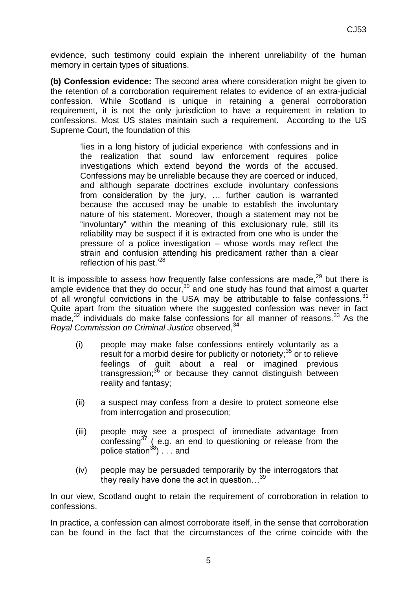evidence, such testimony could explain the inherent unreliability of the human memory in certain types of situations.

**(b) Confession evidence:** The second area where consideration might be given to the retention of a corroboration requirement relates to evidence of an extra-judicial confession. While Scotland is unique in retaining a general corroboration requirement, it is not the only jurisdiction to have a requirement in relation to confessions. Most US states maintain such a requirement. According to the US Supreme Court, the foundation of this

'lies in a long history of judicial experience with confessions and in the realization that sound law enforcement requires police investigations which extend beyond the words of the accused. Confessions may be unreliable because they are coerced or induced, and although separate doctrines exclude involuntary confessions from consideration by the jury, … further caution is warranted because the accused may be unable to establish the involuntary nature of his statement. Moreover, though a statement may not be "involuntary" within the meaning of this exclusionary rule, still its reliability may be suspect if it is extracted from one who is under the pressure of a police investigation – whose words may reflect the strain and confusion attending his predicament rather than a clear reflection of his past.'<sup>28</sup>

It is impossible to assess how frequently false confessions are made, $29$  but there is ample evidence that they do occur,  $30$  and one study has found that almost a quarter of all wrongful convictions in the USA may be attributable to false confessions. $31$ Quite apart from the situation where the suggested confession was never in fact made, $32$  individuals do make false confessions for all manner of reasons.  $33$  As the *Royal Commission on Criminal Justice observed.*<sup>34</sup>

- (i) people may make false confessions entirely voluntarily as a result for a morbid desire for publicity or notoriety;  $35$  or to relieve feelings of guilt about a real or imagined previous transgression;<sup>36</sup> or because they cannot distinguish between reality and fantasy;
- (ii) a suspect may confess from a desire to protect someone else from interrogation and prosecution;
- (iii) people may see a prospect of immediate advantage from confessing $37$  (e.g. an end to questioning or release from the police station $^{38}$ )  $\ldots$  and
- (iv) people may be persuaded temporarily by the interrogators that they really have done the act in question…<sup>39</sup>

In our view, Scotland ought to retain the requirement of corroboration in relation to confessions.

In practice, a confession can almost corroborate itself, in the sense that corroboration can be found in the fact that the circumstances of the crime coincide with the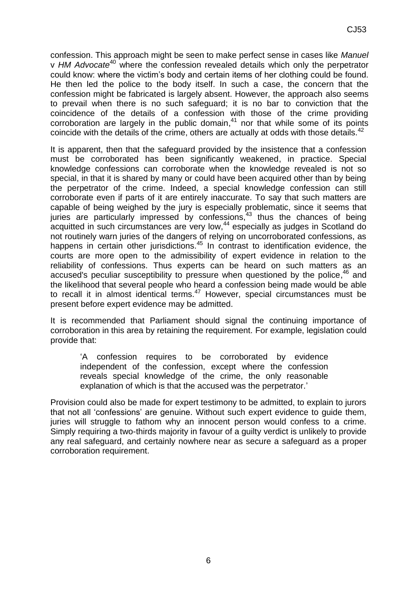confession. This approach might be seen to make perfect sense in cases like *Manuel*  v *HM Advocate*<sup>40</sup> where the confession revealed details which only the perpetrator could know: where the victim's body and certain items of her clothing could be found. He then led the police to the body itself. In such a case, the concern that the confession might be fabricated is largely absent. However, the approach also seems to prevail when there is no such safeguard; it is no bar to conviction that the coincidence of the details of a confession with those of the crime providing corroboration are largely in the public domain, <sup>41</sup> nor that while some of its points coincide with the details of the crime, others are actually at odds with those details.<sup>42</sup>

It is apparent, then that the safeguard provided by the insistence that a confession must be corroborated has been significantly weakened, in practice. Special knowledge confessions can corroborate when the knowledge revealed is not so special, in that it is shared by many or could have been acquired other than by being the perpetrator of the crime. Indeed, a special knowledge confession can still corroborate even if parts of it are entirely inaccurate. To say that such matters are capable of being weighed by the jury is especially problematic, since it seems that juries are particularly impressed by confessions,<sup>43</sup> thus the chances of being acquitted in such circumstances are very low,<sup>44</sup> especially as judges in Scotland do not routinely warn juries of the dangers of relying on uncorroborated confessions, as happens in certain other jurisdictions.<sup>45</sup> In contrast to identification evidence, the courts are more open to the admissibility of expert evidence in relation to the reliability of confessions. Thus experts can be heard on such matters as an accused's peculiar susceptibility to pressure when questioned by the police,<sup>46</sup> and the likelihood that several people who heard a confession being made would be able to recall it in almost identical terms. $47$  However, special circumstances must be present before expert evidence may be admitted.

It is recommended that Parliament should signal the continuing importance of corroboration in this area by retaining the requirement. For example, legislation could provide that:

'A confession requires to be corroborated by evidence independent of the confession, except where the confession reveals special knowledge of the crime, the only reasonable explanation of which is that the accused was the perpetrator.'

Provision could also be made for expert testimony to be admitted, to explain to jurors that not all 'confessions' are genuine. Without such expert evidence to guide them, juries will struggle to fathom why an innocent person would confess to a crime. Simply requiring a two-thirds majority in favour of a guilty verdict is unlikely to provide any real safeguard, and certainly nowhere near as secure a safeguard as a proper corroboration requirement.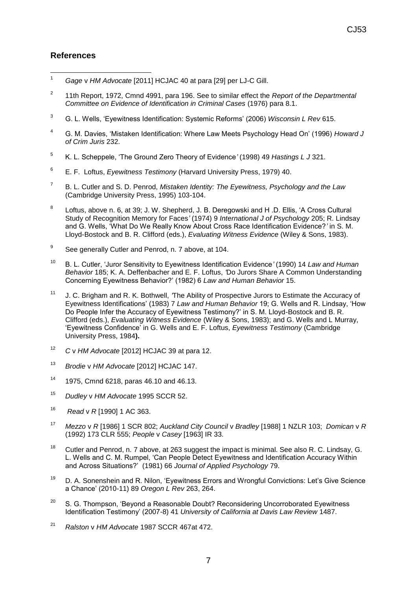### **References**

- $\overline{1}$ <sup>1</sup> *Gage* v *HM Advocate* [2011] HCJAC 40 at para [29] per LJ-C Gill.
- 2 11th Report, 1972, Cmnd 4991, para 196. See to similar effect the *Report of the Departmental Committee on Evidence of Identification in Criminal Cases* (1976) para 8.1.
- 3 G. L. Wells, 'Eyewitness Identification: Systemic Reforms' (2006) *Wisconsin L Rev* 615.
- <sup>4</sup> G. M. Davies, 'Mistaken Identification: Where Law Meets Psychology Head On' (1996) *Howard J of Crim Juris* 232.
- 5 K. L. Scheppele, 'The Ground Zero Theory of Evidence*'* (1998) 49 *Hastings L J* 321.
- 6 E. F. Loftus, *Eyewitness Testimony* (Harvard University Press, 1979) 40.
- 7 B. L. Cutler and S. D. Penrod, *Mistaken Identity: The Eyewitness, Psychology and the Law* (Cambridge University Press, 1995) 103-104.
- 8 Loftus, above n. 6, at 39; J. W. Shepherd, J. B. Deregowski and H .D. Ellis, 'A Cross Cultural Study of Recognition Memory for Faces*'* (1974) 9 *International J of Psychology* 205; R. Lindsay and G. Wells, 'What Do We Really Know About Cross Race Identification Evidence?*'* in S. M. Lloyd-Bostock and B. R. Clifford (eds.), *Evaluating Witness Evidence* (Wiley & Sons, 1983).
- 9 See generally Cutler and Penrod, n. 7 above, at 104.
- <sup>10</sup> B. L. Cutler, 'Juror Sensitivity to Eyewitness Identification Evidence*'* (1990) 14 *Law and Human Behavior* 185; K. A. Deffenbacher and E. F. Loftus, *'*Do Jurors Share A Common Understanding Concerning Eyewitness Behavior?' (1982) 6 *Law and Human Behavior* 15.
- <sup>11</sup> J. C. Brigham and R. K. Bothwell, *'*The Ability of Prospective Jurors to Estimate the Accuracy of Eyewitness Identifications' (1983) 7 *Law and Human Behavior* 19; G. Wells and R. Lindsay, 'How Do People Infer the Accuracy of Eyewitness Testimony?' in S. M. Lloyd-Bostock and B. R. Clifford (eds.), *Evaluating Witness Evidence* (Wiley & Sons, 1983); and G. Wells and L Murray, 'Eyewitness Confidence' in G. Wells and E. F. Loftus, *Eyewitness Testimony* (Cambridge University Press, 1984**).**
- <sup>12</sup> *C* v *HM Advocate* [2012] HCJAC 39 at para 12.
- <sup>13</sup> *Brodie* v *HM Advocate* [2012] HCJAC 147.
- $14$  1975, Cmnd 6218, paras 46.10 and 46.13.
- <sup>15</sup> *Dudley* v *HM Advocate* 1995 SCCR 52.
- <sup>16</sup> *Read* v *R* [1990] 1 AC 363.
- 17 *Mezzo* v *R* [1986] 1 SCR 802; *Auckland City Council* v *Bradley* [1988] 1 NZLR 103; *Domican* v *R* (1992) 173 CLR 555; *People* v *Casey* [1963] IR 33.
- <sup>18</sup> Cutler and Penrod, n. 7 above, at 263 suggest the impact is minimal. See also R. C. Lindsay, G. L. Wells and C. M. Rumpel, 'Can People Detect Eyewitness and Identification Accuracy Within and Across Situations?' (1981) 66 *Journal of Applied Psychology* 79.
- <sup>19</sup> D. A. Sonenshein and R. Nilon, 'Eyewitness Errors and Wrongful Convictions: Let's Give Science a Chance' (2010-11) 89 *Oregon L Rev* 263, 264.
- $20$  S. G. Thompson, 'Beyond a Reasonable Doubt? Reconsidering Uncorroborated Evewitness Identification Testimony' (2007-8) 41 *University of California at Davis Law Review* 1487.
- <sup>21</sup> *Ralston* v *HM Advocate* 1987 SCCR 467at 472.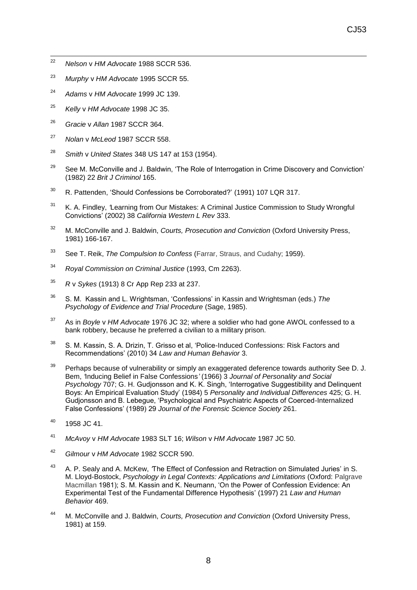- 22 <sup>22</sup> *Nelson* v *HM Advocate* 1988 SCCR 536.
- <sup>23</sup> *Murphy* v *HM Advocate* 1995 SCCR 55.
- <sup>24</sup> *Adams* v *HM Advocate* 1999 JC 139.
- <sup>25</sup> *Kelly* v *HM Advocate* 1998 JC 35.
- <sup>26</sup> *Gracie* v *Allan* 1987 SCCR 364.
- <sup>27</sup> *Nolan* v *McLeod* 1987 SCCR 558.
- <sup>28</sup> *Smith* v *United States* 348 US 147 at 153 (1954).
- <sup>29</sup> See M. McConville and J. Baldwin, 'The Role of Interrogation in Crime Discovery and Conviction' (1982) 22 *Brit J Criminol* 165.
- $30$  R. Pattenden, 'Should Confessions be Corroborated?' (1991) 107 LQR 317.
- <sup>31</sup> K. A. Findley, *'*Learning from Our Mistakes: A Criminal Justice Commission to Study Wrongful Convictions' (2002) 38 *California Western L Rev* 333.
- <sup>32</sup> M. McConville and J. Baldwin, *Courts, Prosecution and Conviction* (Oxford University Press, 1981) 166-167.
- <sup>33</sup> See T. Reik, *The Compulsion to Confess* (Farrar, Straus, and Cudahy; 1959).
- <sup>34</sup> *Royal Commission on Criminal Justice* (1993, Cm 2263).
- <sup>35</sup> *R* v *Sykes* (1913) 8 Cr App Rep 233 at 237.
- <sup>36</sup> S. M. Kassin and L. Wrightsman, 'Confessions' in Kassin and Wrightsman (eds.) *The Psychology of Evidence and Trial Procedure* (Sage, 1985).
- <sup>37</sup> As in *Boyle* v *HM Advocate* 1976 JC 32; where a soldier who had gone AWOL confessed to a bank robbery, because he preferred a civilian to a military prison.
- <sup>38</sup> S. M. Kassin, S. A. Drizin, T. Grisso et al, 'Police-Induced Confessions: Risk Factors and Recommendations' (2010) 34 *Law and Human Behavior* 3.
- $39$  Perhaps because of vulnerability or simply an exaggerated deference towards authority See D. J. Bem, *'*Inducing Belief in False Confessions*'* (1966) 3 *Journal of Personality and Social Psychology* 707; G. H. Gudjonsson and K. K. Singh, 'Interrogative Suggestibility and Delinquent Boys: An Empirical Evaluation Study' (1984) 5 *Personality and Individual Differences* 425; G. H. Gudjonsson and B. Lebegue, 'Psychological and Psychiatric Aspects of Coerced-Internalized False Confessions' (1989) 29 *Journal of the Forensic Science Society* 261.
- $40$  1958 JC 41.
- <sup>41</sup> *McAvoy* v *HM Advocate* 1983 SLT 16; *Wilson* v *HM Advocate* 1987 JC 50.
- <sup>42</sup> *Gilmour* v *HM Advocate* 1982 SCCR 590.
- <sup>43</sup> A. P. Sealy and A. McKew, *'*The Effect of Confession and Retraction on Simulated Juries' in S. M. Lloyd-Bostock, *Psychology in Legal Contexts: Applications and Limitations* (Oxford: Palgrave Macmillan 1981); S. M. Kassin and K. Neumann, 'On the Power of Confession Evidence: An Experimental Test of the Fundamental Difference Hypothesis' (1997) 21 *Law and Human Behavior* 469.
- <sup>44</sup> M. McConville and J. Baldwin, *Courts, Prosecution and Conviction* (Oxford University Press, 1981) at 159.